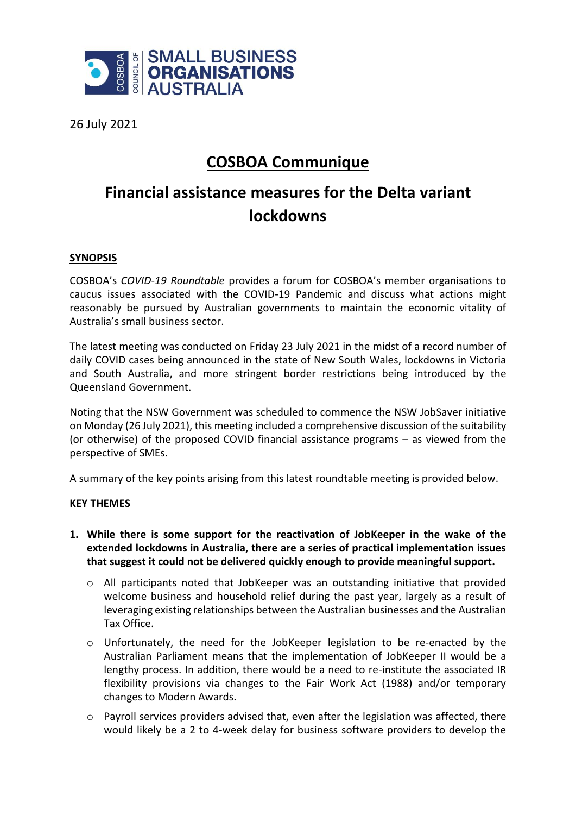

26 July 2021

## **COSBOA Communique**

## **Financial assistance measures for the Delta variant lockdowns**

## **SYNOPSIS**

COSBOA's *COVID-19 Roundtable* provides a forum for COSBOA's member organisations to caucus issues associated with the COVID-19 Pandemic and discuss what actions might reasonably be pursued by Australian governments to maintain the economic vitality of Australia's small business sector.

The latest meeting was conducted on Friday 23 July 2021 in the midst of a record number of daily COVID cases being announced in the state of New South Wales, lockdowns in Victoria and South Australia, and more stringent border restrictions being introduced by the Queensland Government.

Noting that the NSW Government was scheduled to commence the NSW JobSaver initiative on Monday (26 July 2021), this meeting included a comprehensive discussion of the suitability (or otherwise) of the proposed COVID financial assistance programs – as viewed from the perspective of SMEs.

A summary of the key points arising from this latest roundtable meeting is provided below.

## **KEY THEMES**

- **1. While there is some support for the reactivation of JobKeeper in the wake of the extended lockdowns in Australia, there are a series of practical implementation issues that suggest it could not be delivered quickly enough to provide meaningful support.**
	- $\circ$  All participants noted that JobKeeper was an outstanding initiative that provided welcome business and household relief during the past year, largely as a result of leveraging existing relationships between the Australian businesses and the Australian Tax Office.
	- $\circ$  Unfortunately, the need for the JobKeeper legislation to be re-enacted by the Australian Parliament means that the implementation of JobKeeper II would be a lengthy process. In addition, there would be a need to re-institute the associated IR flexibility provisions via changes to the Fair Work Act (1988) and/or temporary changes to Modern Awards.
	- $\circ$  Payroll services providers advised that, even after the legislation was affected, there would likely be a 2 to 4-week delay for business software providers to develop the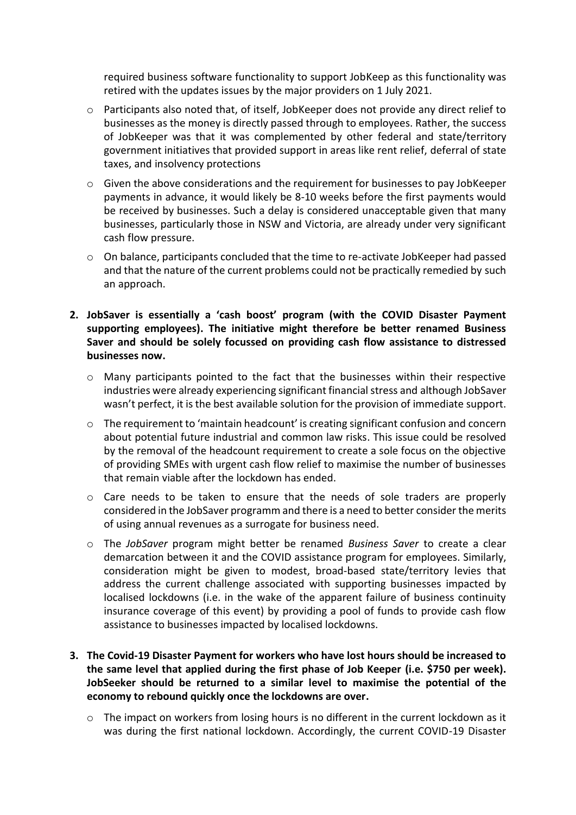required business software functionality to support JobKeep as this functionality was retired with the updates issues by the major providers on 1 July 2021.

- $\circ$  Participants also noted that, of itself, JobKeeper does not provide any direct relief to businesses as the money is directly passed through to employees. Rather, the success of JobKeeper was that it was complemented by other federal and state/territory government initiatives that provided support in areas like rent relief, deferral of state taxes, and insolvency protections
- o Given the above considerations and the requirement for businesses to pay JobKeeper payments in advance, it would likely be 8-10 weeks before the first payments would be received by businesses. Such a delay is considered unacceptable given that many businesses, particularly those in NSW and Victoria, are already under very significant cash flow pressure.
- o On balance, participants concluded that the time to re-activate JobKeeper had passed and that the nature of the current problems could not be practically remedied by such an approach.
- **2. JobSaver is essentially a 'cash boost' program (with the COVID Disaster Payment supporting employees). The initiative might therefore be better renamed Business Saver and should be solely focussed on providing cash flow assistance to distressed businesses now.**
	- $\circ$  Many participants pointed to the fact that the businesses within their respective industries were already experiencing significant financial stress and although JobSaver wasn't perfect, it is the best available solution for the provision of immediate support.
	- $\circ$  The requirement to 'maintain headcount' is creating significant confusion and concern about potential future industrial and common law risks. This issue could be resolved by the removal of the headcount requirement to create a sole focus on the objective of providing SMEs with urgent cash flow relief to maximise the number of businesses that remain viable after the lockdown has ended.
	- $\circ$  Care needs to be taken to ensure that the needs of sole traders are properly considered in the JobSaver programm and there is a need to better consider the merits of using annual revenues as a surrogate for business need.
	- o The *JobSaver* program might better be renamed *Business Saver* to create a clear demarcation between it and the COVID assistance program for employees. Similarly, consideration might be given to modest, broad-based state/territory levies that address the current challenge associated with supporting businesses impacted by localised lockdowns (i.e. in the wake of the apparent failure of business continuity insurance coverage of this event) by providing a pool of funds to provide cash flow assistance to businesses impacted by localised lockdowns.
- **3. The Covid-19 Disaster Payment for workers who have lost hours should be increased to the same level that applied during the first phase of Job Keeper (i.e. \$750 per week). JobSeeker should be returned to a similar level to maximise the potential of the economy to rebound quickly once the lockdowns are over.**
	- $\circ$  The impact on workers from losing hours is no different in the current lockdown as it was during the first national lockdown. Accordingly, the current COVID-19 Disaster